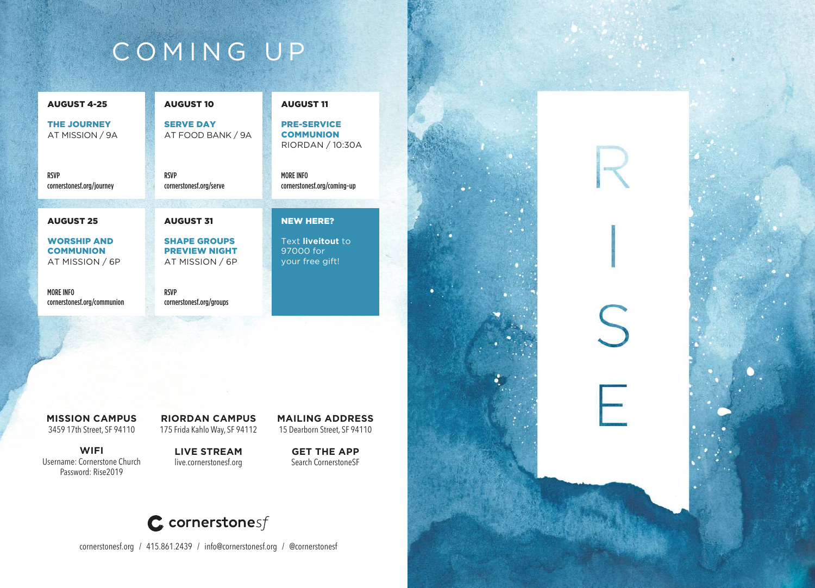# COMING UP

| <b>AUGUST 4-25</b>                                        | <b>AUGUST 10</b>                                               | <b>AUGUST 11</b>                                           |
|-----------------------------------------------------------|----------------------------------------------------------------|------------------------------------------------------------|
| <b>THE JOURNEY</b><br>AT MISSION / 9A                     | <b>SERVE DAY</b><br>AT FOOD BANK / 9A                          | <b>PRE-SERVICE</b><br><b>COMMUNION</b><br>RIORDAN / 10:30A |
| <b>RSVP</b><br>cornerstonesf.org/journey                  | <b>RSVP</b><br>cornerstonesf.org/serve                         | <b>MORE INFO</b><br>cornerstonesf.org/coming-up            |
|                                                           |                                                                |                                                            |
|                                                           |                                                                |                                                            |
| <b>AUGUST 25</b>                                          | <b>AUGUST 31</b>                                               | <b>NEW HERE?</b>                                           |
| <b>WORSHIP AND</b><br><b>COMMUNION</b><br>AT MISSION / 6P | <b>SHAPE GROUPS</b><br><b>PREVIEW NIGHT</b><br>AT MISSION / 6P | Text liveitout to<br>97000 for<br>your free gift!          |
| <b>MORE INFO</b><br>cornerstonesf.org/communion           | <b>RSVP</b><br>cornerstonesf.org/groups                        |                                                            |

**MISSION CAMPUS** 3459 17th Street, SF 94110

**WIFI** Username: Cornerstone Church Password: Rise2019

**RIORDAN CAMPUS** 175 Frida Kahlo Way, SF 94112

**LIVE STREAM** live.cornerstonesf.org

**GET THE APP**  Search CornerstoneSF



cornerstonesf.org / 415.861.2439 / info@cornerstonesf.org / @cornerstonesf